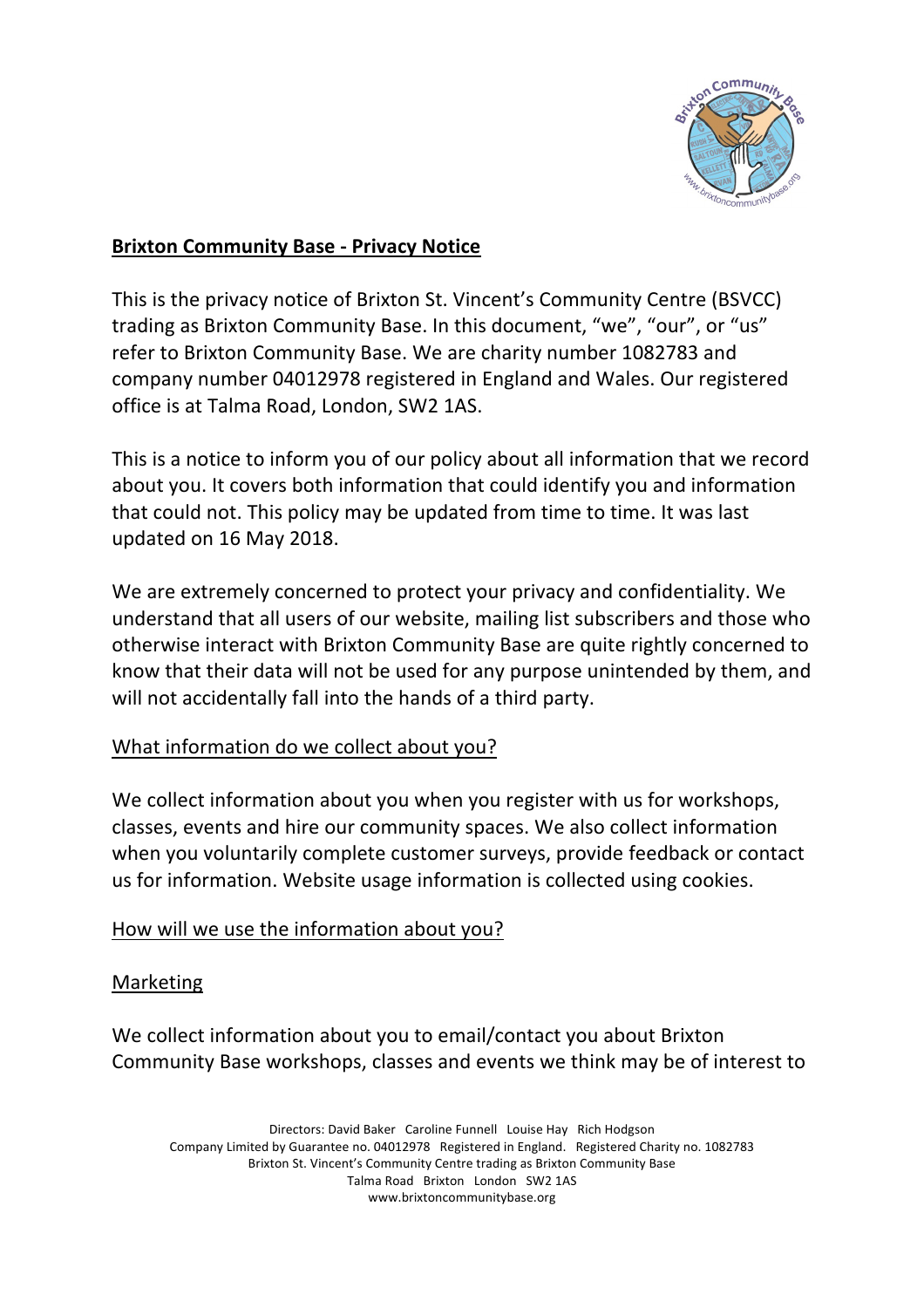

## **Brixton Community Base - Privacy Notice**

This is the privacy notice of Brixton St. Vincent's Community Centre (BSVCC) trading as Brixton Community Base. In this document, "we", "our", or "us" refer to Brixton Community Base. We are charity number 1082783 and company number 04012978 registered in England and Wales. Our registered office is at Talma Road, London, SW2 1AS.

This is a notice to inform you of our policy about all information that we record about you. It covers both information that could identify you and information that could not. This policy may be updated from time to time. It was last updated on 16 May 2018.

We are extremely concerned to protect your privacy and confidentiality. We understand that all users of our website, mailing list subscribers and those who otherwise interact with Brixton Community Base are quite rightly concerned to know that their data will not be used for any purpose unintended by them, and will not accidentally fall into the hands of a third party.

# What information do we collect about you?

We collect information about you when you register with us for workshops, classes, events and hire our community spaces. We also collect information when you voluntarily complete customer surveys, provide feedback or contact us for information. Website usage information is collected using cookies.

#### How will we use the information about you?

#### Marketing

We collect information about you to email/contact you about Brixton Community Base workshops, classes and events we think may be of interest to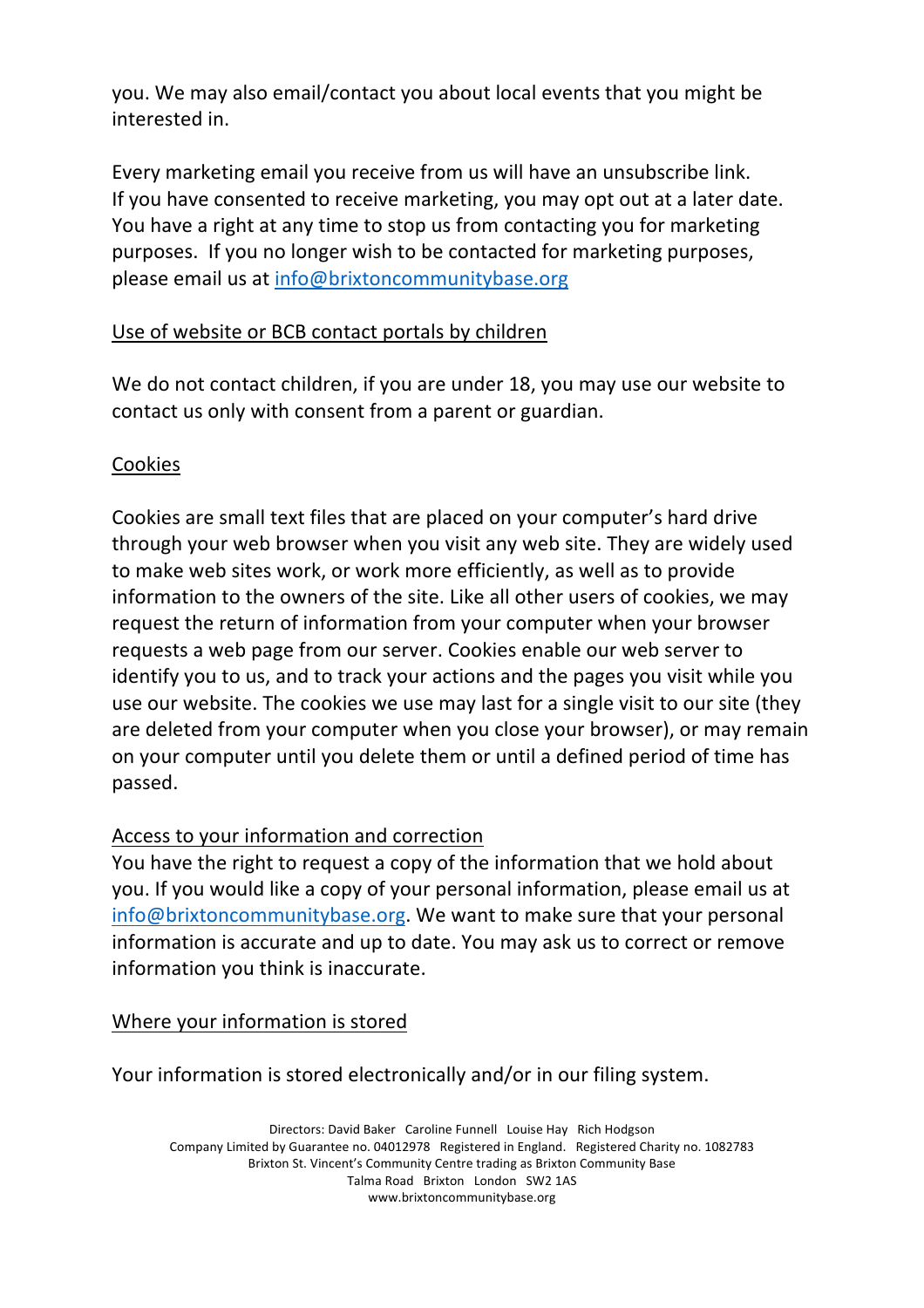you. We may also email/contact you about local events that you might be interested in.

Every marketing email you receive from us will have an unsubscribe link. If you have consented to receive marketing, you may opt out at a later date. You have a right at any time to stop us from contacting you for marketing purposes. If you no longer wish to be contacted for marketing purposes, please email us at info@brixtoncommunitybase.org

# Use of website or BCB contact portals by children

We do not contact children, if you are under 18, you may use our website to contact us only with consent from a parent or guardian.

# Cookies

Cookies are small text files that are placed on your computer's hard drive through your web browser when you visit any web site. They are widely used to make web sites work, or work more efficiently, as well as to provide information to the owners of the site. Like all other users of cookies, we may request the return of information from your computer when your browser requests a web page from our server. Cookies enable our web server to identify you to us, and to track your actions and the pages you visit while you use our website. The cookies we use may last for a single visit to our site (they are deleted from your computer when you close your browser), or may remain on your computer until you delete them or until a defined period of time has passed.

# Access to your information and correction

You have the right to request a copy of the information that we hold about you. If you would like a copy of your personal information, please email us at info@brixtoncommunitybase.org. We want to make sure that your personal information is accurate and up to date. You may ask us to correct or remove information you think is inaccurate.

Where your information is stored

Your information is stored electronically and/or in our filing system.

Directors: David Baker Caroline Funnell Louise Hay Rich Hodgson Company Limited by Guarantee no. 04012978 Registered in England. Registered Charity no. 1082783 Brixton St. Vincent's Community Centre trading as Brixton Community Base Talma Road Brixton London SW2 1AS www.brixtoncommunitybase.org